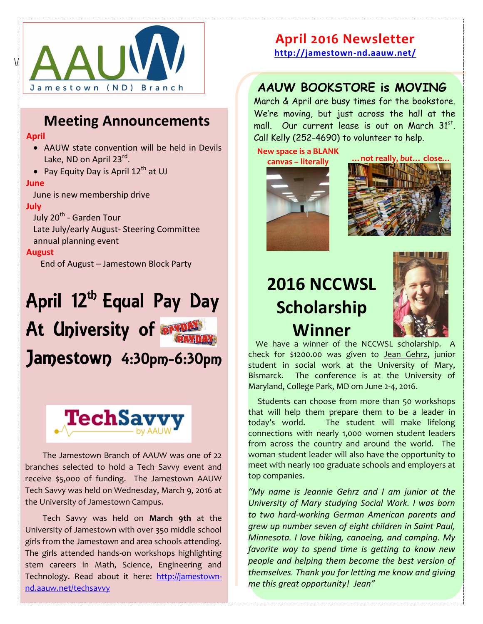

### **Meeting Announcements**

#### **April**

- AAUW state convention will be held in Devils Lake, ND on April 23<sup>rd</sup>.
- Pay Equity Day is April  $12^{th}$  at UJ

#### **June**

June is new membership drive

#### **July**

July 20<sup>th</sup> - Garden Tour Late July/early August- Steering Committee

annual planning event

#### **August**

End of August – Jamestown Block Party

# April 12<sup>th</sup> Equal Pay Day At University of **PRYON** Jamestown 4:30pm-6:30pm



The Jamestown Branch of AAUW was one of 22 branches selected to hold a Tech Savvy event and receive \$5,000 of funding. The Jamestown AAUW Tech Savvy was held on Wednesday, March 9, 2016 at the University of Jamestown Campus.

Tech Savvy was held on **March 9th** at the University of Jamestown with over 350 middle school girls from the Jamestown and area schools attending. The girls attended hands-on workshops highlighting stem careers in Math, Science, Engineering and Technology. Read about it here: [http://jamestown](http://jamestown-nd.aauw.net/techsavvy)[nd.aauw.net/techsavvy](http://jamestown-nd.aauw.net/techsavvy)

### **April 2016 Newsletter**

**<http://jamestown-nd.aauw.net/>**

### **AAUW BOOKSTORE is MOVING**

March & April are busy times for the bookstore. We're moving, but just across the hall at the mall. Our current lease is out on March 31st. Call Kelly (252-4690) to volunteer to help.

**New space is a BLANK** 





## **2016 NCCWSL Scholarship Winner**



 We have a winner of the NCCWSL scholarship. A check for \$1200.00 was given to Jean Gehrz, junior student in social work at the University of Mary, Bismarck. The conference is at the University of Maryland, College Park, MD om June 2-4, 2016.

 Students can choose from more than 50 workshops that will help them prepare them to be a leader in today's world. The student will make lifelong connections with nearly 1,000 women student leaders from across the country and around the world. The woman student leader will also have the opportunity to meet with nearly 100 graduate schools and employers at top companies.

*"My name is Jeannie Gehrz and I am junior at the University of Mary studying Social Work. I was born to two hard-working German American parents and grew up number seven of eight children in Saint Paul, Minnesota. I love hiking, canoeing, and camping. My favorite way to spend time is getting to know new people and helping them become the best version of themselves. Thank you for letting me know and giving me this great opportunity! Jean"*